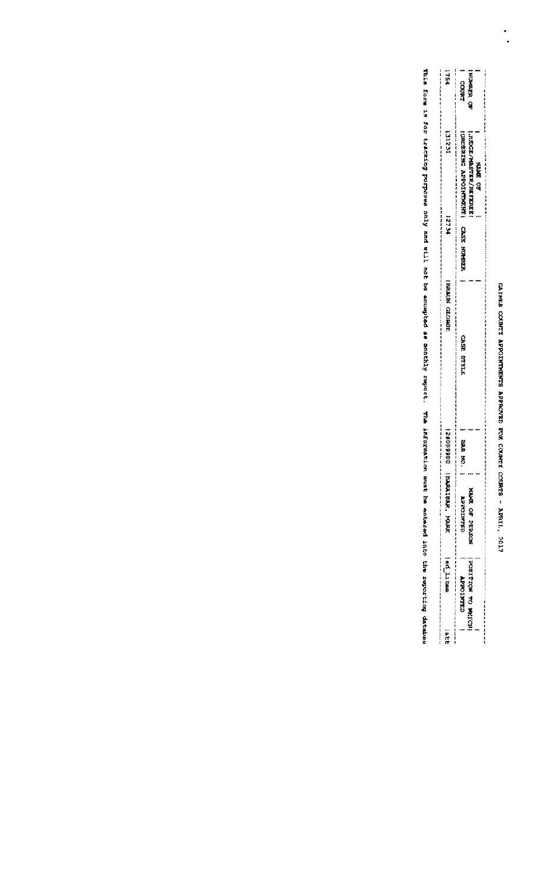# сальна сховити Аррогичична Арресоудр РОМ Сомичи сходие - Ариль, 2017

|   |                           | COURT                          | ALD MERRIN                 |                |  |
|---|---------------------------|--------------------------------|----------------------------|----------------|--|
|   |                           |                                |                            |                |  |
|   |                           |                                |                            |                |  |
|   | IEZIK                     | <b>CONSUMERS AND MONETAINS</b> |                            |                |  |
|   |                           |                                |                            |                |  |
|   |                           |                                |                            | <b>KAME CT</b> |  |
|   |                           |                                |                            |                |  |
|   |                           |                                |                            |                |  |
|   | 2734                      |                                |                            |                |  |
|   |                           | <b>CASE MORERA</b>             |                            |                |  |
|   |                           |                                |                            |                |  |
|   |                           |                                |                            |                |  |
|   | <b>FRANCIS CHOROM</b>     |                                |                            |                |  |
|   |                           |                                |                            |                |  |
|   |                           |                                |                            |                |  |
|   |                           | FILE BEED                      |                            |                |  |
|   |                           |                                |                            |                |  |
|   |                           |                                |                            |                |  |
|   |                           |                                |                            |                |  |
|   |                           |                                |                            |                |  |
|   |                           |                                |                            |                |  |
|   | 1、特性检查检查 \$               | XXXX<br>ð                      |                            |                |  |
|   |                           |                                |                            |                |  |
|   | <b>BARRISTERS, MARKET</b> |                                |                            |                |  |
|   |                           | CONTRACTOR                     | <b>NACRA Cap Paper</b>     |                |  |
|   |                           |                                |                            |                |  |
|   |                           |                                |                            |                |  |
|   |                           |                                |                            |                |  |
|   | 一种品 计计算器                  |                                |                            |                |  |
|   |                           | <b>ULEATION TY</b>             |                            |                |  |
|   |                           |                                | <b>NORTHRACK SCREENERS</b> |                |  |
|   |                           |                                |                            |                |  |
| i | 一変ほけ                      |                                |                            |                |  |

This form is foloking purposes only and will not be accapted as monthly report. The informating arrows information and the reportang dates the reportang dates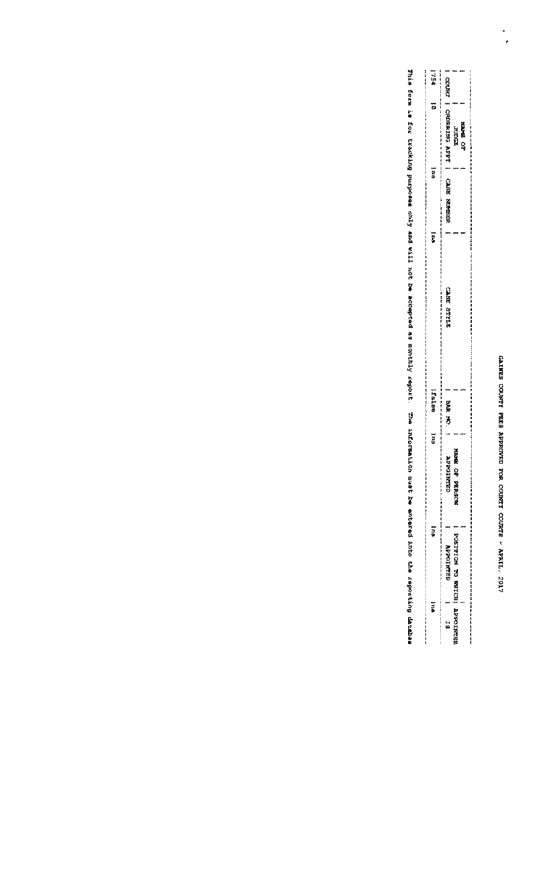$\ddot{\cdot}$ 

| 一种种          |                         |                              |        |                                                                                                                                     |
|--------------|-------------------------|------------------------------|--------|-------------------------------------------------------------------------------------------------------------------------------------|
|              | <b>CKRACTE</b>          |                              |        | 5.0%,这些老老的事件,我们一样,我的话,我就是我的,我们我的,我们我们的,我们我的,我们我们的。" "我说,我们我的,我们我的,我就是我的,我就是我的,我就是我的,我就是我的,我就是我的,我就是我 医第一次的 医阿尔比氏试验检梅毒 医单位性单位 医单位性单位 |
|              | <b>CROBATAL APPROVE</b> |                              |        |                                                                                                                                     |
|              |                         | <b>ROOM</b>                  | 西方的 心地 |                                                                                                                                     |
| 一部祭          |                         |                              |        |                                                                                                                                     |
|              |                         |                              |        |                                                                                                                                     |
|              | 心神論經 医单位同型              |                              |        |                                                                                                                                     |
| ī.           |                         |                              |        |                                                                                                                                     |
|              |                         |                              |        |                                                                                                                                     |
|              |                         |                              |        |                                                                                                                                     |
|              |                         |                              |        |                                                                                                                                     |
|              | CARE STILE              |                              |        |                                                                                                                                     |
|              |                         |                              |        |                                                                                                                                     |
|              |                         |                              |        |                                                                                                                                     |
|              |                         |                              |        |                                                                                                                                     |
| <b>FEIRE</b> | 認知 ろ                    |                              |        |                                                                                                                                     |
| Į            |                         |                              |        |                                                                                                                                     |
|              | ì<br>4Ì                 | <b>REACTES</b>               |        |                                                                                                                                     |
|              | <b>THE CHAIRS</b>       |                              |        |                                                                                                                                     |
|              |                         | ○等 双端再次】全                    |        |                                                                                                                                     |
|              |                         |                              |        |                                                                                                                                     |
| ē            |                         |                              |        |                                                                                                                                     |
|              | <b>MANINGER</b>         |                              |        |                                                                                                                                     |
|              |                         |                              |        |                                                                                                                                     |
| Į            |                         |                              |        |                                                                                                                                     |
|              | 51                      | POSTATOR MU WORKCHI MUPOHNAR |        |                                                                                                                                     |
|              |                         |                              |        |                                                                                                                                     |

This form is folaring parposes only and will not be accepted in the infort. The information must the into reporting datenting databling datenting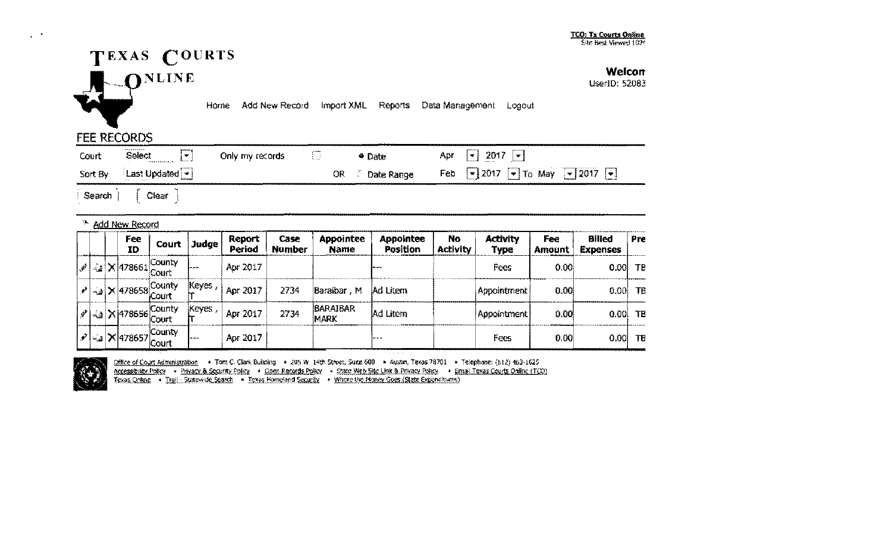

Welcon

UserID: 52083

Home Add New Record Import XML Reports Data Management Logout

## **FEE RECORDS**

 $\bullet$  $\bullet$ 

| Court | Select<br>i.w∽                             | Only my records |     | <b>Date</b> | Apr $ \mathbf{v} $ 2017 $ \mathbf{v} $                                                       |
|-------|--------------------------------------------|-----------------|-----|-------------|----------------------------------------------------------------------------------------------|
|       | Sort By Last Updated $\blacktriangleright$ |                 | OR. | Date Range  | Feb $\boxed{\bullet}$ 2017 $\boxed{\bullet}$ To May $\boxed{\bullet}$ 2017 $\boxed{\bullet}$ |
|       |                                            |                 |     |             |                                                                                              |

Search | Clear

### <sup>76</sup> Add New Record

|  | Fee<br>ID | Court                                                                                 | Judge  | Report<br>Period | Case<br><b>Number</b> | Appointee<br><b>Name</b> | <b>Appointee</b><br>Position | No.<br><b>Activity</b> | <b>Activity</b><br>Туре | Fee<br><b>Amount</b> | <b>Billed</b><br><b>Expenses</b> | Pre        |
|--|-----------|---------------------------------------------------------------------------------------|--------|------------------|-----------------------|--------------------------|------------------------------|------------------------|-------------------------|----------------------|----------------------------------|------------|
|  |           | <b>County</b><br>$\mathbb{R}$ = $\mathbb{R}$ $\times$ 478661 $\frac{1}{\text{Court}}$ | سمحا   | Apr 2017         |                       |                          | ----                         |                        | Fees                    | 0,00                 |                                  | $0.001$ TE |
|  |           | $\left \omega\right $ X 478658 County                                                 | Keyes, | Apr 2017         | 2734                  | Baraibar, M              | Ad Litem                     |                        | Appointment             | 0.001                | $0.00$ TB                        |            |
|  |           | 12 4 X 478656 County<br>Court                                                         | Keyes  | Apr 2017         | 2734                  | <b>BARAIBAR</b><br>imark | Ad Litem                     |                        | Appointment             | 0.00                 |                                  | $0.00$ TB  |
|  |           | County<br>$\mathcal{C}$ = $\times$ 478657 $\overline{\text{Court}}$                   | سمعا   | Apr 2017         |                       |                          | lae ae ae.                   |                        | Fees                    | 0,00                 |                                  | $0.00$ TE  |



Office of Court Administration . Tom C. Clark Building . 205 W. 14th Street, Suite 600 . Austin, Texas 78701 . Telephone: (512) 463-1625 Accessibility Policy . Privacy & Security Policy . Goen Records Policy . State Web Site Link & Privacy Policy . Email Texas Courts Online (TCD)<br>Texas Online . Trail - Statewide Search . Texas Homeland Security . Where the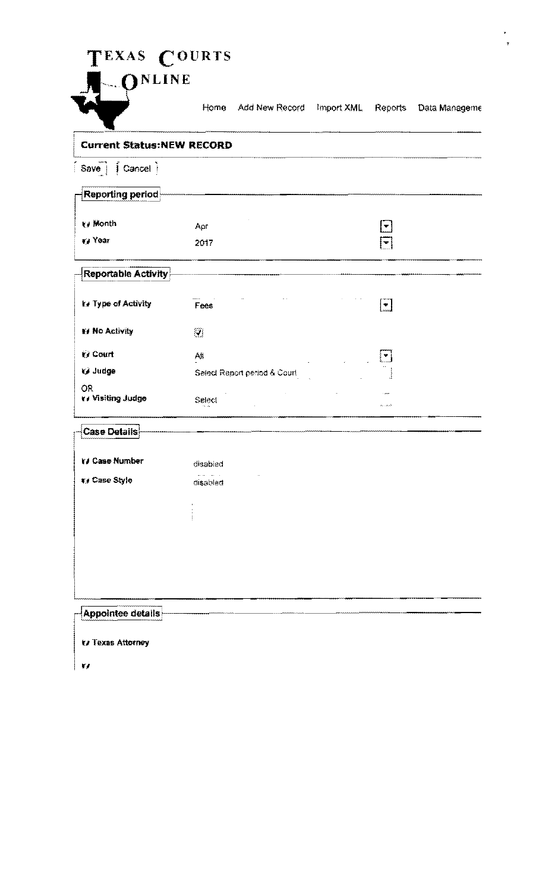# TEXAS COURTS



Horne Add New Record Import XML Reports Data Manageme

 $\star$  $\ddot{\mathbf{r}}$ 

| <b>Current Status:NEW RECORD</b>     |                              |                                  |
|--------------------------------------|------------------------------|----------------------------------|
| Save   <b>  Cancel</b>               |                              |                                  |
| Reporting period                     |                              |                                  |
| ₹/ Month                             | Apr                          | $\blacktriangledown$             |
| va Year                              | 2017                         | $\color{blue}\blacktriangledown$ |
| <b>Reportable Activity</b>           |                              |                                  |
| te Type of Activity                  | Fees                         | $\left[\frac{1}{2}\right]$       |
| If No Activity                       | Ø                            |                                  |
| ₩ Court                              | Аļ                           | كا                               |
| W Judge                              | Select Report period & Court |                                  |
| <b>OR</b><br><b>Y</b> Visiting Judge | Select                       | فمتمنا بنم                       |
| Case Details                         |                              |                                  |
| <b>YJ Case Number</b>                | disabled                     |                                  |
| v/ Case Style                        | disabled                     |                                  |
|                                      |                              |                                  |
|                                      |                              |                                  |
|                                      |                              |                                  |
|                                      |                              |                                  |
|                                      |                              |                                  |
| Appointee details                    |                              |                                  |
| <b>V</b> Texas Attorney              |                              |                                  |

 $\vert$  w